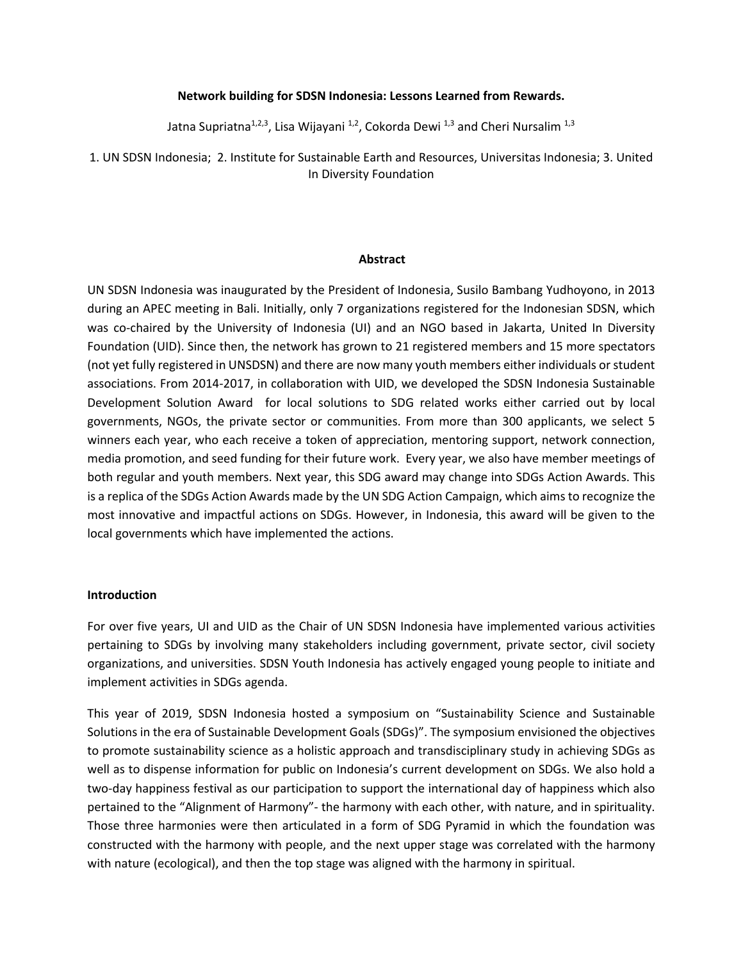#### **Network building for SDSN Indonesia: Lessons Learned from Rewards.**

Jatna Supriatna<sup>1,2,3</sup>, Lisa Wijayani<sup>1,2</sup>, Cokorda Dewi<sup>1,3</sup> and Cheri Nursalim<sup>1,3</sup>

1. UN SDSN Indonesia; 2. Institute for Sustainable Earth and Resources, Universitas Indonesia; 3. United In Diversity Foundation

#### **Abstract**

UN SDSN Indonesia was inaugurated by the President of Indonesia, Susilo Bambang Yudhoyono, in 2013 during an APEC meeting in Bali. Initially, only 7 organizations registered for the Indonesian SDSN, which was co-chaired by the University of Indonesia (UI) and an NGO based in Jakarta, United In Diversity Foundation (UID). Since then, the network has grown to 21 registered members and 15 more spectators (not yet fully registered in UNSDSN) and there are now many youth members either individuals or student associations. From 2014-2017, in collaboration with UID, we developed the SDSN Indonesia Sustainable Development Solution Award for local solutions to SDG related works either carried out by local governments, NGOs, the private sector or communities. From more than 300 applicants, we select 5 winners each year, who each receive a token of appreciation, mentoring support, network connection, media promotion, and seed funding for their future work. Every year, we also have member meetings of both regular and youth members. Next year, this SDG award may change into SDGs Action Awards. This is a replica of the SDGs Action Awards made by the UN SDG Action Campaign, which aims to recognize the most innovative and impactful actions on SDGs. However, in Indonesia, this award will be given to the local governments which have implemented the actions.

#### **Introduction**

For over five years, UI and UID as the Chair of UN SDSN Indonesia have implemented various activities pertaining to SDGs by involving many stakeholders including government, private sector, civil society organizations, and universities. SDSN Youth Indonesia has actively engaged young people to initiate and implement activities in SDGs agenda.

This year of 2019, SDSN Indonesia hosted a symposium on "Sustainability Science and Sustainable Solutions in the era of Sustainable Development Goals (SDGs)". The symposium envisioned the objectives to promote sustainability science as a holistic approach and transdisciplinary study in achieving SDGs as well as to dispense information for public on Indonesia's current development on SDGs. We also hold a two-day happiness festival as our participation to support the international day of happiness which also pertained to the "Alignment of Harmony"- the harmony with each other, with nature, and in spirituality. Those three harmonies were then articulated in a form of SDG Pyramid in which the foundation was constructed with the harmony with people, and the next upper stage was correlated with the harmony with nature (ecological), and then the top stage was aligned with the harmony in spiritual.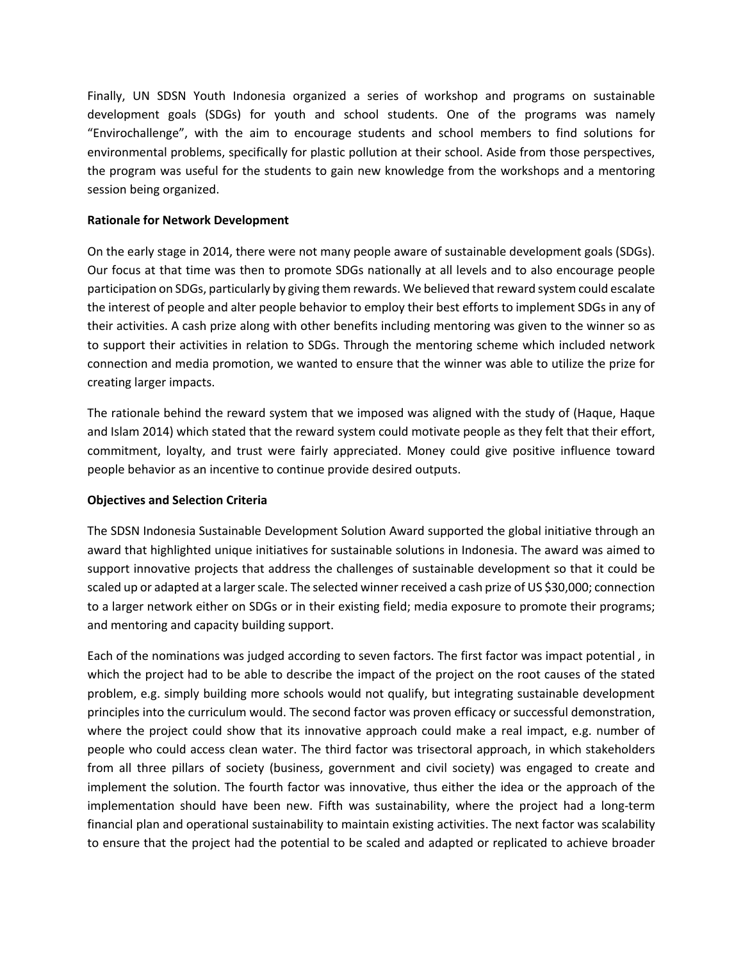Finally, UN SDSN Youth Indonesia organized a series of workshop and programs on sustainable development goals (SDGs) for youth and school students. One of the programs was namely "Envirochallenge", with the aim to encourage students and school members to find solutions for environmental problems, specifically for plastic pollution at their school. Aside from those perspectives, the program was useful for the students to gain new knowledge from the workshops and a mentoring session being organized.

# **Rationale for Network Development**

On the early stage in 2014, there were not many people aware of sustainable development goals (SDGs). Our focus at that time was then to promote SDGs nationally at all levels and to also encourage people participation on SDGs, particularly by giving them rewards. We believed that reward system could escalate the interest of people and alter people behavior to employ their best efforts to implement SDGs in any of their activities. A cash prize along with other benefits including mentoring was given to the winner so as to support their activities in relation to SDGs. Through the mentoring scheme which included network connection and media promotion, we wanted to ensure that the winner was able to utilize the prize for creating larger impacts.

The rationale behind the reward system that we imposed was aligned with the study of (Haque, Haque and Islam 2014) which stated that the reward system could motivate people as they felt that their effort, commitment, loyalty, and trust were fairly appreciated. Money could give positive influence toward people behavior as an incentive to continue provide desired outputs.

### **Objectives and Selection Criteria**

The SDSN Indonesia Sustainable Development Solution Award supported the global initiative through an award that highlighted unique initiatives for sustainable solutions in Indonesia. The award was aimed to support innovative projects that address the challenges of sustainable development so that it could be scaled up or adapted at a larger scale. The selected winner received a cash prize of US \$30,000; connection to a larger network either on SDGs or in their existing field; media exposure to promote their programs; and mentoring and capacity building support.

Each of the nominations was judged according to seven factors. The first factor was impact potential *,* in which the project had to be able to describe the impact of the project on the root causes of the stated problem, e.g. simply building more schools would not qualify, but integrating sustainable development principles into the curriculum would. The second factor was proven efficacy or successful demonstration, where the project could show that its innovative approach could make a real impact, e.g. number of people who could access clean water. The third factor was trisectoral approach, in which stakeholders from all three pillars of society (business, government and civil society) was engaged to create and implement the solution. The fourth factor was innovative, thus either the idea or the approach of the implementation should have been new. Fifth was sustainability, where the project had a long-term financial plan and operational sustainability to maintain existing activities. The next factor was scalability to ensure that the project had the potential to be scaled and adapted or replicated to achieve broader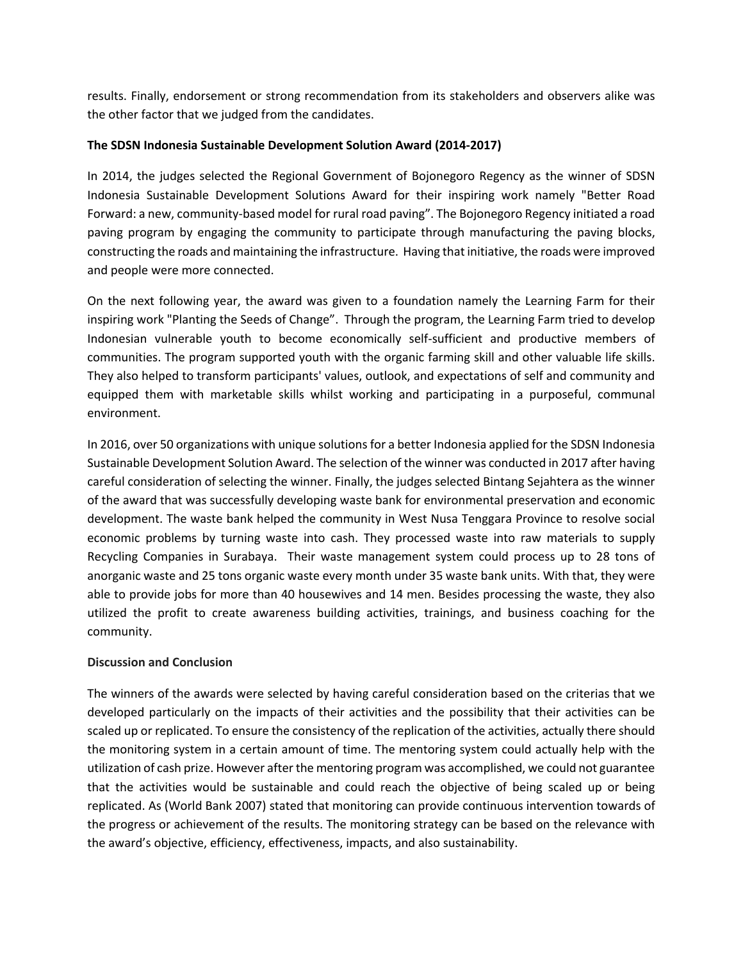results. Finally, endorsement or strong recommendation from its stakeholders and observers alike was the other factor that we judged from the candidates.

# **The SDSN Indonesia Sustainable Development Solution Award (2014-2017)**

In 2014, the judges selected the Regional Government of Bojonegoro Regency as the winner of SDSN Indonesia Sustainable Development Solutions Award for their inspiring work namely "Better Road Forward: a new, community-based model for rural road paving". The Bojonegoro Regency initiated a road paving program by engaging the community to participate through manufacturing the paving blocks, constructing the roads and maintaining the infrastructure. Having that initiative, the roads were improved and people were more connected.

On the next following year, the award was given to a foundation namely the Learning Farm for their inspiring work "Planting the Seeds of Change". Through the program, the Learning Farm tried to develop Indonesian vulnerable youth to become economically self-sufficient and productive members of communities. The program supported youth with the organic farming skill and other valuable life skills. They also helped to transform participants' values, outlook, and expectations of self and community and equipped them with marketable skills whilst working and participating in a purposeful, communal environment.

In 2016, over 50 organizations with unique solutions for a better Indonesia applied for the SDSN Indonesia Sustainable Development Solution Award. The selection of the winner was conducted in 2017 after having careful consideration of selecting the winner. Finally, the judges selected Bintang Sejahtera as the winner of the award that was successfully developing waste bank for environmental preservation and economic development. The waste bank helped the community in West Nusa Tenggara Province to resolve social economic problems by turning waste into cash. They processed waste into raw materials to supply Recycling Companies in Surabaya. Their waste management system could process up to 28 tons of anorganic waste and 25 tons organic waste every month under 35 waste bank units. With that, they were able to provide jobs for more than 40 housewives and 14 men. Besides processing the waste, they also utilized the profit to create awareness building activities, trainings, and business coaching for the community.

### **Discussion and Conclusion**

The winners of the awards were selected by having careful consideration based on the criterias that we developed particularly on the impacts of their activities and the possibility that their activities can be scaled up or replicated. To ensure the consistency of the replication of the activities, actually there should the monitoring system in a certain amount of time. The mentoring system could actually help with the utilization of cash prize. However after the mentoring program was accomplished, we could not guarantee that the activities would be sustainable and could reach the objective of being scaled up or being replicated. As (World Bank 2007) stated that monitoring can provide continuous intervention towards of the progress or achievement of the results. The monitoring strategy can be based on the relevance with the award's objective, efficiency, effectiveness, impacts, and also sustainability.